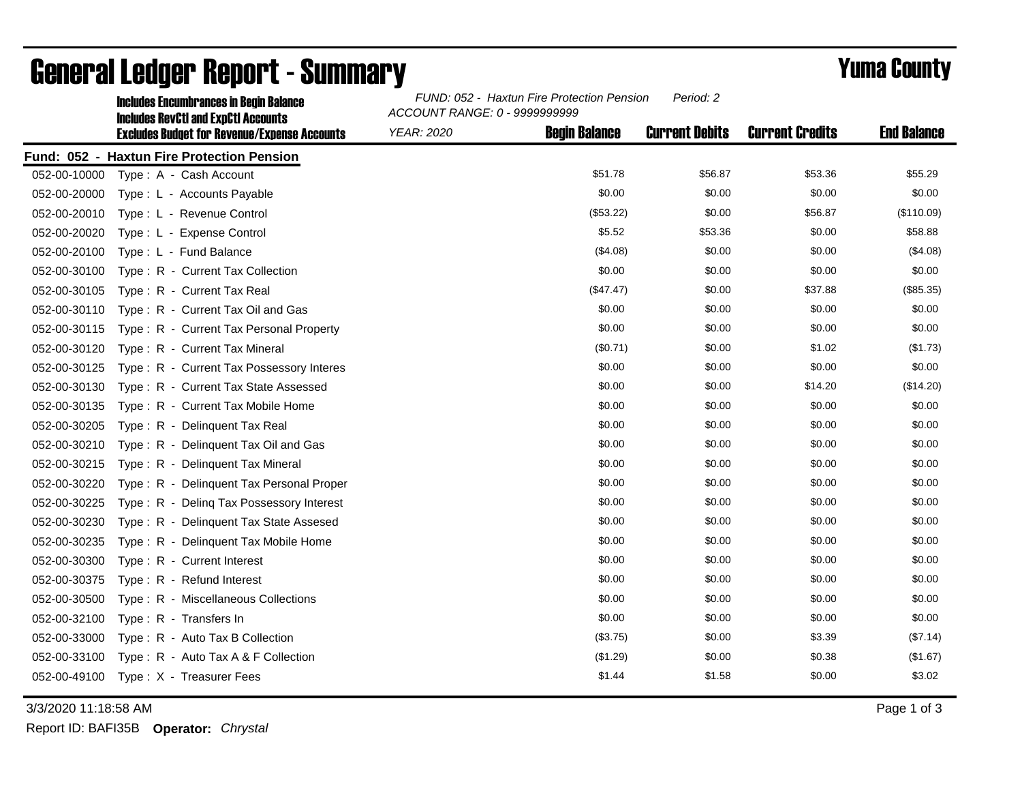|              | <b>Includes Encumbrances in Begin Balance</b><br><b>Includes RevCtI and ExpCtI Accounts</b><br><b>Excludes Budget for Revenue/Expense Accounts</b> | FUND: 052 - Haxtun Fire Protection Pension<br>Period: 2<br>ACCOUNT RANGE: 0 - 9999999999 |                      |                       |                        |                    |  |
|--------------|----------------------------------------------------------------------------------------------------------------------------------------------------|------------------------------------------------------------------------------------------|----------------------|-----------------------|------------------------|--------------------|--|
|              |                                                                                                                                                    | <b>YEAR: 2020</b>                                                                        | <b>Begin Balance</b> | <b>Current Debits</b> | <b>Current Credits</b> | <b>End Balance</b> |  |
|              | Fund: 052 - Haxtun Fire Protection Pension                                                                                                         |                                                                                          |                      |                       |                        |                    |  |
| 052-00-10000 | Type: A - Cash Account                                                                                                                             |                                                                                          | \$51.78              | \$56.87               | \$53.36                | \$55.29            |  |
| 052-00-20000 | Type: L - Accounts Payable                                                                                                                         |                                                                                          | \$0.00               | \$0.00                | \$0.00                 | \$0.00             |  |
| 052-00-20010 | Type: L - Revenue Control                                                                                                                          |                                                                                          | (\$53.22)            | \$0.00                | \$56.87                | (\$110.09)         |  |
| 052-00-20020 | Type: L - Expense Control                                                                                                                          |                                                                                          | \$5.52               | \$53.36               | \$0.00                 | \$58.88            |  |
| 052-00-20100 | Type: L - Fund Balance                                                                                                                             |                                                                                          | (\$4.08)             | \$0.00                | \$0.00                 | (\$4.08)           |  |
| 052-00-30100 | Type: R - Current Tax Collection                                                                                                                   |                                                                                          | \$0.00               | \$0.00                | \$0.00                 | \$0.00             |  |
| 052-00-30105 | Type: R - Current Tax Real                                                                                                                         |                                                                                          | (\$47.47)            | \$0.00                | \$37.88                | (\$85.35)          |  |
| 052-00-30110 | Type: R - Current Tax Oil and Gas                                                                                                                  |                                                                                          | \$0.00               | \$0.00                | \$0.00                 | \$0.00             |  |
| 052-00-30115 | Type: R - Current Tax Personal Property                                                                                                            |                                                                                          | \$0.00               | \$0.00                | \$0.00                 | \$0.00             |  |
| 052-00-30120 | Type: R - Current Tax Mineral                                                                                                                      |                                                                                          | (\$0.71)             | \$0.00                | \$1.02                 | (\$1.73)           |  |
| 052-00-30125 | Type: R - Current Tax Possessory Interes                                                                                                           |                                                                                          | \$0.00               | \$0.00                | \$0.00                 | \$0.00             |  |
| 052-00-30130 | Type: R - Current Tax State Assessed                                                                                                               |                                                                                          | \$0.00               | \$0.00                | \$14.20                | (\$14.20)          |  |
| 052-00-30135 | Type: R - Current Tax Mobile Home                                                                                                                  |                                                                                          | \$0.00               | \$0.00                | \$0.00                 | \$0.00             |  |
| 052-00-30205 | Type: R - Delinquent Tax Real                                                                                                                      |                                                                                          | \$0.00               | \$0.00                | \$0.00                 | \$0.00             |  |
| 052-00-30210 | Type: R - Delinquent Tax Oil and Gas                                                                                                               |                                                                                          | \$0.00               | \$0.00                | \$0.00                 | \$0.00             |  |
| 052-00-30215 | Type: R - Delinquent Tax Mineral                                                                                                                   |                                                                                          | \$0.00               | \$0.00                | \$0.00                 | \$0.00             |  |
| 052-00-30220 | Type: R - Delinquent Tax Personal Proper                                                                                                           |                                                                                          | \$0.00               | \$0.00                | \$0.00                 | \$0.00             |  |
| 052-00-30225 | Type: R - Deling Tax Possessory Interest                                                                                                           |                                                                                          | \$0.00               | \$0.00                | \$0.00                 | \$0.00             |  |
| 052-00-30230 | Type: R - Delinquent Tax State Assesed                                                                                                             |                                                                                          | \$0.00               | \$0.00                | \$0.00                 | \$0.00             |  |
| 052-00-30235 | Type: R - Delinquent Tax Mobile Home                                                                                                               |                                                                                          | \$0.00               | \$0.00                | \$0.00                 | \$0.00             |  |
| 052-00-30300 | Type: R - Current Interest                                                                                                                         |                                                                                          | \$0.00               | \$0.00                | \$0.00                 | \$0.00             |  |
| 052-00-30375 | Type: R - Refund Interest                                                                                                                          |                                                                                          | \$0.00               | \$0.00                | \$0.00                 | \$0.00             |  |
| 052-00-30500 | Type: R - Miscellaneous Collections                                                                                                                |                                                                                          | \$0.00               | \$0.00                | \$0.00                 | \$0.00             |  |
| 052-00-32100 | Type: R - Transfers In                                                                                                                             |                                                                                          | \$0.00               | \$0.00                | \$0.00                 | \$0.00             |  |
| 052-00-33000 | Type: R - Auto Tax B Collection                                                                                                                    |                                                                                          | (\$3.75)             | \$0.00                | \$3.39                 | (\$7.14)           |  |
| 052-00-33100 | Type: R - Auto Tax A & F Collection                                                                                                                |                                                                                          | (\$1.29)             | \$0.00                | \$0.38                 | (\$1.67)           |  |
| 052-00-49100 | Type: X - Treasurer Fees                                                                                                                           |                                                                                          | \$1.44               | \$1.58                | \$0.00                 | \$3.02             |  |

## General Ledger Report - Summary **Example 2018** Yuma County

3/3/2020 11:18:58 AM Page 1 of 3

Report ID: BAFI35B **Operator:** *Chrystal*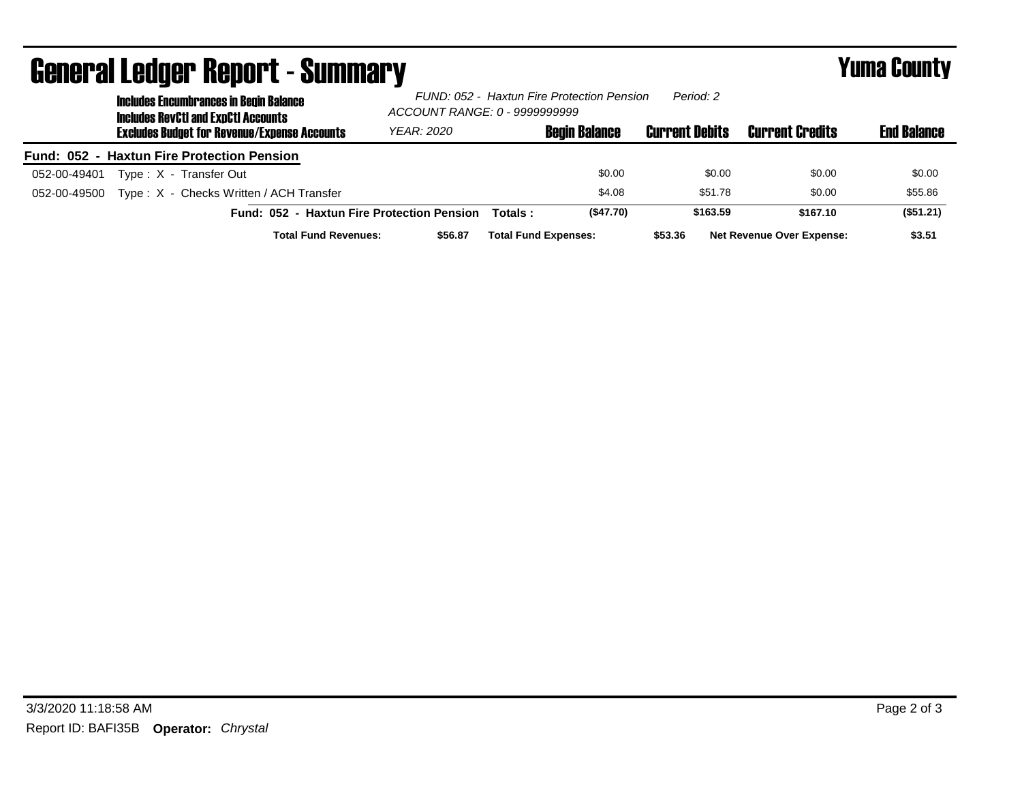| <u>uvilui ul Luuyvi Tiupol teediliniidi y</u><br><b>Includes Encumbrances in Begin Balance</b><br><b>Includes RevCtI and ExpCtI Accounts</b> | ACCOUNT RANGE: 0 - 9999999999 |          | FUND: 052 - Haxtun Fire Protection Pension | Period: 2             |                                  | - ----- ------     |
|----------------------------------------------------------------------------------------------------------------------------------------------|-------------------------------|----------|--------------------------------------------|-----------------------|----------------------------------|--------------------|
| <b>Excludes Budget for Revenue/Expense Accounts</b>                                                                                          | YEAR: 2020                    |          | <b>Begin Balance</b>                       | <b>Current Debits</b> | <b>Current Credits</b>           | <b>End Balance</b> |
| Fund: 052 - Haxtun Fire Protection Pension                                                                                                   |                               |          |                                            |                       |                                  |                    |
| Type: X - Transfer Out<br>052-00-49401                                                                                                       |                               |          | \$0.00                                     | \$0.00                | \$0.00                           | \$0.00             |
| Type: X - Checks Written / ACH Transfer<br>052-00-49500                                                                                      |                               |          | \$4.08                                     | \$51.78               | \$0.00                           | \$55.86            |
| Fund: 052 - Haxtun Fire Protection Pension                                                                                                   |                               | Totals : | (\$47.70)                                  | \$163.59              | \$167.10                         | (\$51.21)          |
| <b>Total Fund Revenues:</b>                                                                                                                  | \$56.87                       |          | <b>Total Fund Expenses:</b>                | \$53.36               | <b>Net Revenue Over Expense:</b> | \$3.51             |

## General Ledger Report - Summary Yuma County